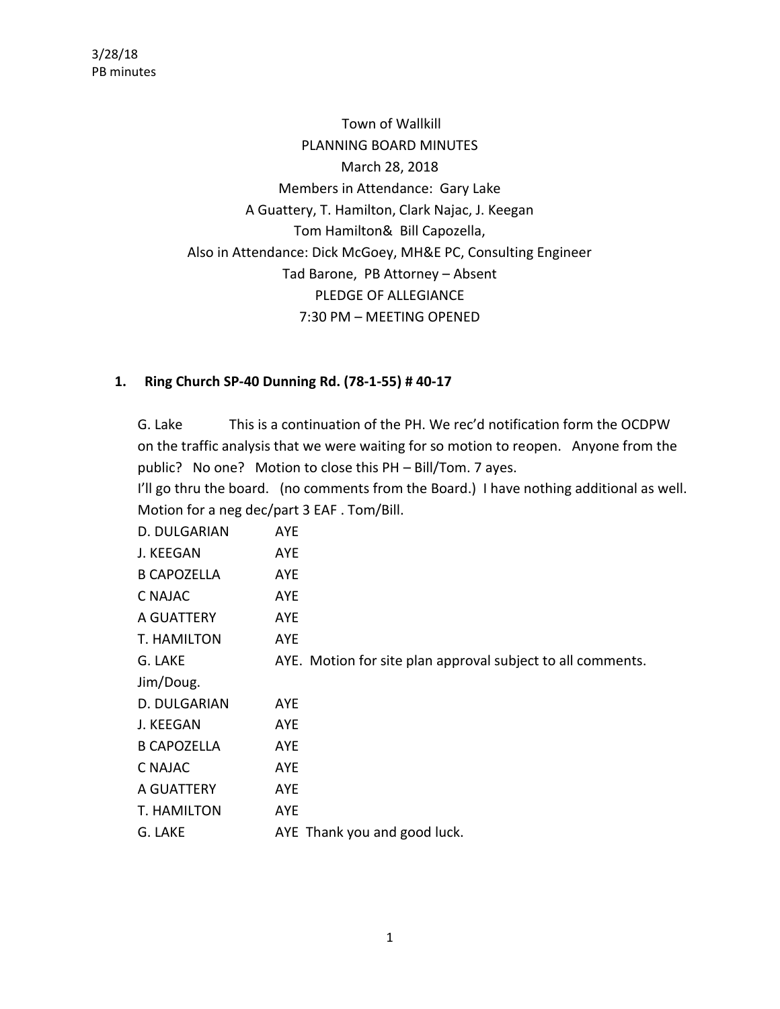Town of Wallkill PLANNING BOARD MINUTES March 28, 2018 Members in Attendance: Gary Lake A Guattery, T. Hamilton, Clark Najac, J. Keegan Tom Hamilton& Bill Capozella, Also in Attendance: Dick McGoey, MH&E PC, Consulting Engineer Tad Barone, PB Attorney – Absent PLEDGE OF ALLEGIANCE 7:30 PM – MEETING OPENED

# **1. Ring Church SP-40 Dunning Rd. (78-1-55) # 40-17**

G. Lake This is a continuation of the PH. We rec'd notification form the OCDPW on the traffic analysis that we were waiting for so motion to reopen. Anyone from the public? No one? Motion to close this PH – Bill/Tom. 7 ayes.

I'll go thru the board. (no comments from the Board.) I have nothing additional as well. Motion for a neg dec/part 3 EAF . Tom/Bill.

| D. DULGARIAN       | <b>AYE</b>                                                  |
|--------------------|-------------------------------------------------------------|
| J. KEEGAN          | AYE                                                         |
| <b>B CAPOZELLA</b> | AYE                                                         |
| C NAJAC            | AYE                                                         |
| A GUATTERY         | <b>AYE</b>                                                  |
| T. HAMILTON        | AYE                                                         |
| G. LAKE            | AYE. Motion for site plan approval subject to all comments. |
| Jim/Doug.          |                                                             |
| D. DULGARIAN       | <b>AYE</b>                                                  |
| J. KEEGAN          | AYE                                                         |
| <b>B CAPOZELLA</b> | AYE                                                         |
| C NAJAC            | AYE                                                         |
| A GUATTERY         | <b>AYE</b>                                                  |
| T. HAMILTON        | <b>AYE</b>                                                  |
| G. LAKE            | AYE Thank you and good luck.                                |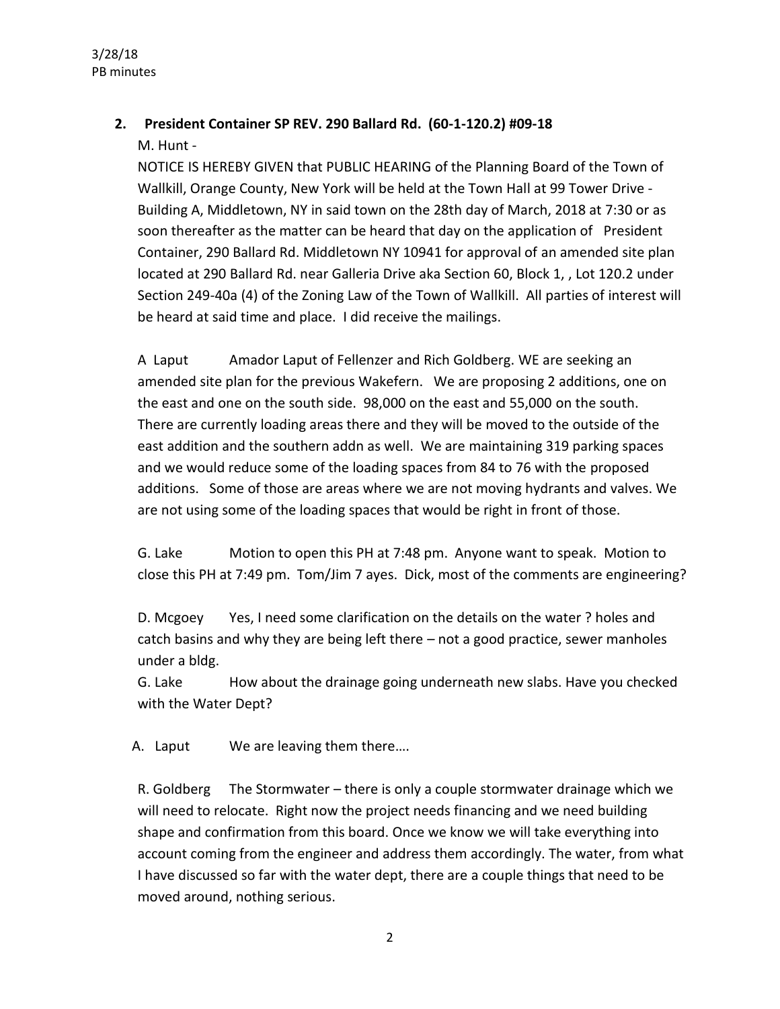# **2. President Container SP REV. 290 Ballard Rd. (60-1-120.2) #09-18**

M. Hunt -

NOTICE IS HEREBY GIVEN that PUBLIC HEARING of the Planning Board of the Town of Wallkill, Orange County, New York will be held at the Town Hall at 99 Tower Drive - Building A, Middletown, NY in said town on the 28th day of March, 2018 at 7:30 or as soon thereafter as the matter can be heard that day on the application of President Container, 290 Ballard Rd. Middletown NY 10941 for approval of an amended site plan located at 290 Ballard Rd. near Galleria Drive aka Section 60, Block 1, , Lot 120.2 under Section 249-40a (4) of the Zoning Law of the Town of Wallkill. All parties of interest will be heard at said time and place. I did receive the mailings.

A Laput Amador Laput of Fellenzer and Rich Goldberg. WE are seeking an amended site plan for the previous Wakefern. We are proposing 2 additions, one on the east and one on the south side. 98,000 on the east and 55,000 on the south. There are currently loading areas there and they will be moved to the outside of the east addition and the southern addn as well. We are maintaining 319 parking spaces and we would reduce some of the loading spaces from 84 to 76 with the proposed additions. Some of those are areas where we are not moving hydrants and valves. We are not using some of the loading spaces that would be right in front of those.

G. Lake Motion to open this PH at 7:48 pm. Anyone want to speak. Motion to close this PH at 7:49 pm. Tom/Jim 7 ayes. Dick, most of the comments are engineering?

D. Mcgoey Yes, I need some clarification on the details on the water ? holes and catch basins and why they are being left there – not a good practice, sewer manholes under a bldg.

G. Lake How about the drainage going underneath new slabs. Have you checked with the Water Dept?

A. Laput We are leaving them there....

R. Goldberg The Stormwater – there is only a couple stormwater drainage which we will need to relocate. Right now the project needs financing and we need building shape and confirmation from this board. Once we know we will take everything into account coming from the engineer and address them accordingly. The water, from what I have discussed so far with the water dept, there are a couple things that need to be moved around, nothing serious.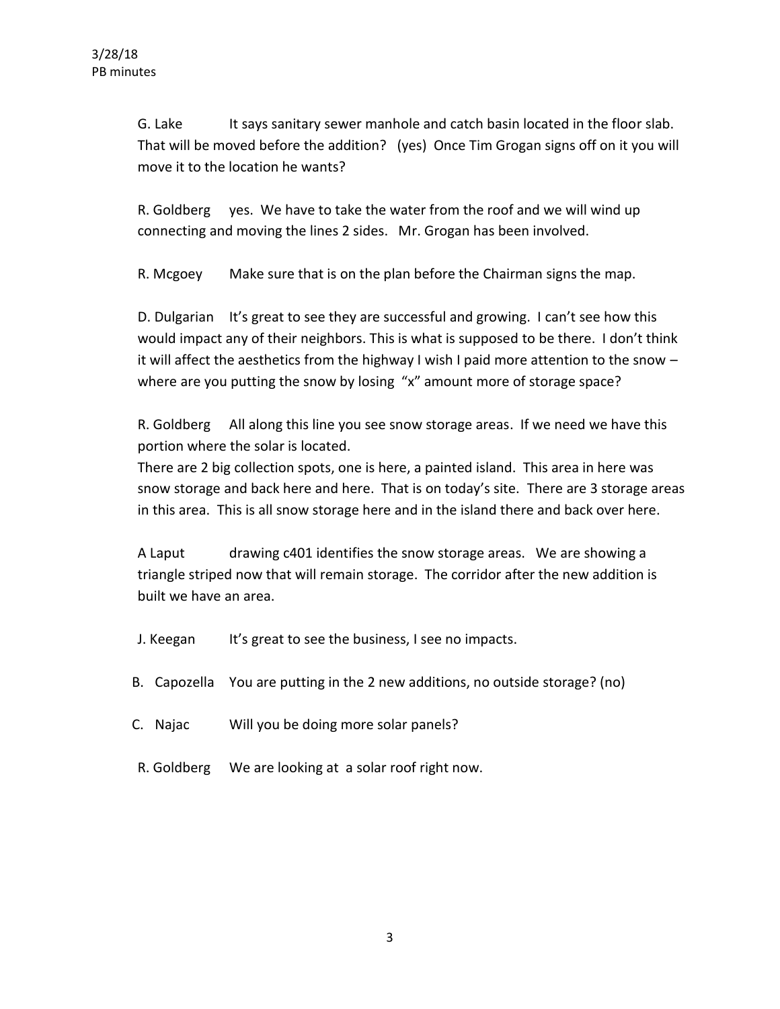G. Lake It says sanitary sewer manhole and catch basin located in the floor slab. That will be moved before the addition? (yes) Once Tim Grogan signs off on it you will move it to the location he wants?

R. Goldberg yes. We have to take the water from the roof and we will wind up connecting and moving the lines 2 sides. Mr. Grogan has been involved.

R. Mcgoey Make sure that is on the plan before the Chairman signs the map.

D. Dulgarian It's great to see they are successful and growing. I can't see how this would impact any of their neighbors. This is what is supposed to be there. I don't think it will affect the aesthetics from the highway I wish I paid more attention to the snow – where are you putting the snow by losing "x" amount more of storage space?

R. Goldberg All along this line you see snow storage areas. If we need we have this portion where the solar is located.

There are 2 big collection spots, one is here, a painted island. This area in here was snow storage and back here and here. That is on today's site. There are 3 storage areas in this area. This is all snow storage here and in the island there and back over here.

A Laput drawing c401 identifies the snow storage areas. We are showing a triangle striped now that will remain storage. The corridor after the new addition is built we have an area.

- J. Keegan It's great to see the business, I see no impacts.
- B. Capozella You are putting in the 2 new additions, no outside storage? (no)
- C. Najac Will you be doing more solar panels?
- R. Goldberg We are looking at a solar roof right now.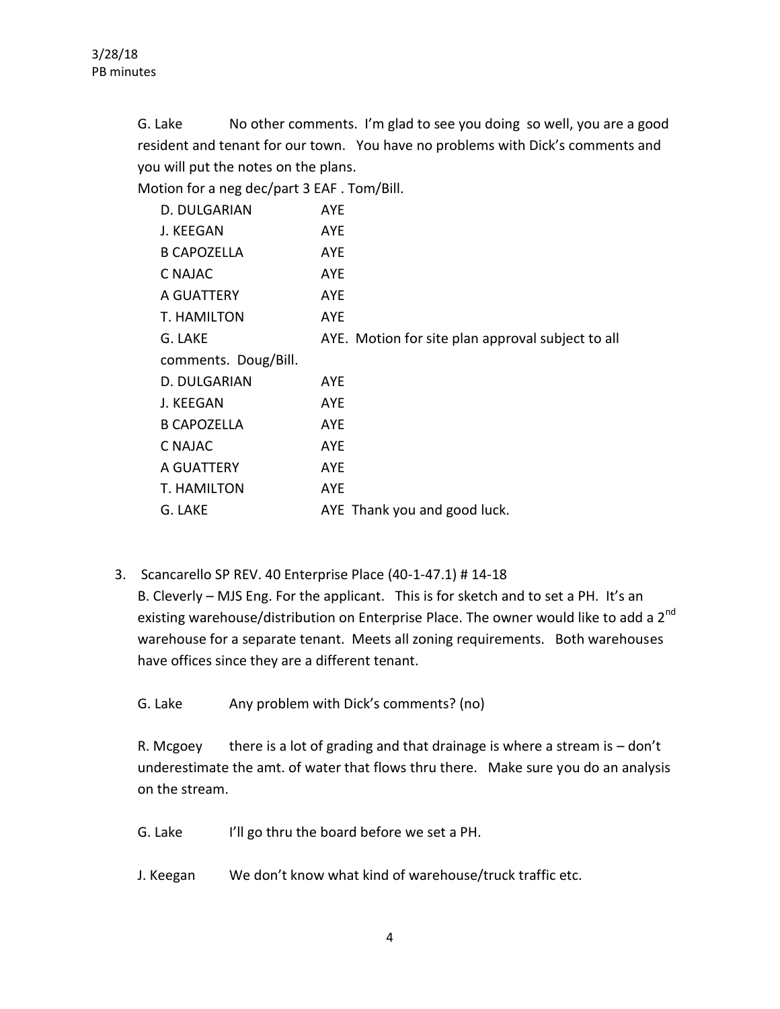G. Lake No other comments. I'm glad to see you doing so well, you are a good resident and tenant for our town. You have no problems with Dick's comments and you will put the notes on the plans.

Motion for a neg dec/part 3 EAF . Tom/Bill.

| D. DULGARIAN         | <b>AYE</b>                                        |
|----------------------|---------------------------------------------------|
| J. KEEGAN            | AYE                                               |
| <b>B CAPOZELLA</b>   | AYE                                               |
| C NAJAC              | <b>AYE</b>                                        |
| A GUATTERY           | <b>AYE</b>                                        |
| T. HAMILTON          | AYE                                               |
| G. LAKE              | AYE. Motion for site plan approval subject to all |
| comments. Doug/Bill. |                                                   |
| D. DULGARIAN         | AYE                                               |
| J. KEEGAN            | <b>AYE</b>                                        |
| <b>B CAPOZELLA</b>   | AYE                                               |
| C NAJAC              | <b>AYE</b>                                        |
| A GUATTERY           | <b>AYE</b>                                        |
| T. HAMILTON          | <b>AYE</b>                                        |
| G. LAKE              | AYE Thank you and good luck.                      |

3. Scancarello SP REV. 40 Enterprise Place (40-1-47.1) # 14-18

B. Cleverly – MJS Eng. For the applicant. This is for sketch and to set a PH. It's an existing warehouse/distribution on Enterprise Place. The owner would like to add a 2<sup>nd</sup> warehouse for a separate tenant. Meets all zoning requirements. Both warehouses have offices since they are a different tenant.

G. Lake Any problem with Dick's comments? (no)

R. Mcgoey there is a lot of grading and that drainage is where a stream is  $-$  don't underestimate the amt. of water that flows thru there. Make sure you do an analysis on the stream.

- G. Lake I'll go thru the board before we set a PH.
- J. Keegan We don't know what kind of warehouse/truck traffic etc.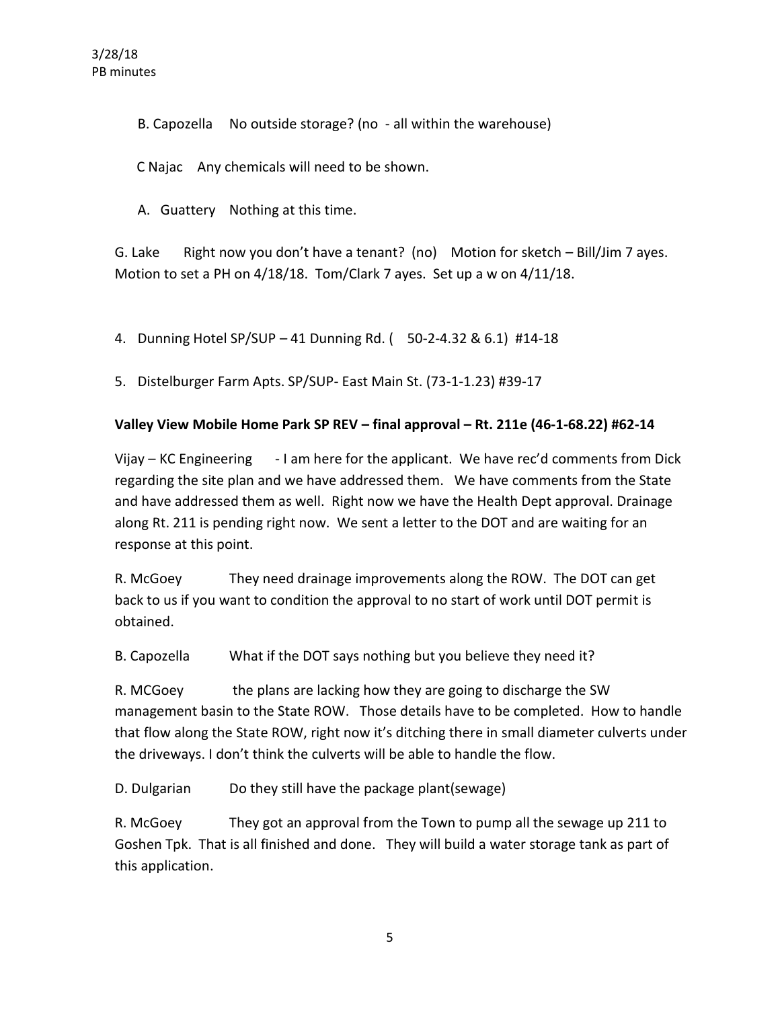B. Capozella No outside storage? (no - all within the warehouse)

C Najac Any chemicals will need to be shown.

A. Guattery Nothing at this time.

G. Lake Right now you don't have a tenant? (no) Motion for sketch  $-$  Bill/Jim 7 ayes. Motion to set a PH on 4/18/18. Tom/Clark 7 ayes. Set up a w on 4/11/18.

4. Dunning Hotel SP/SUP – 41 Dunning Rd. ( 50-2-4.32 & 6.1) #14-18

5. Distelburger Farm Apts. SP/SUP- East Main St. (73-1-1.23) #39-17

## **Valley View Mobile Home Park SP REV – final approval – Rt. 211e (46-1-68.22) #62-14**

Vijay – KC Engineering - I am here for the applicant. We have rec'd comments from Dick regarding the site plan and we have addressed them. We have comments from the State and have addressed them as well. Right now we have the Health Dept approval. Drainage along Rt. 211 is pending right now. We sent a letter to the DOT and are waiting for an response at this point.

R. McGoey They need drainage improvements along the ROW. The DOT can get back to us if you want to condition the approval to no start of work until DOT permit is obtained.

B. Capozella What if the DOT says nothing but you believe they need it?

R. MCGoey the plans are lacking how they are going to discharge the SW management basin to the State ROW. Those details have to be completed. How to handle that flow along the State ROW, right now it's ditching there in small diameter culverts under the driveways. I don't think the culverts will be able to handle the flow.

D. Dulgarian Do they still have the package plant(sewage)

R. McGoey They got an approval from the Town to pump all the sewage up 211 to Goshen Tpk. That is all finished and done. They will build a water storage tank as part of this application.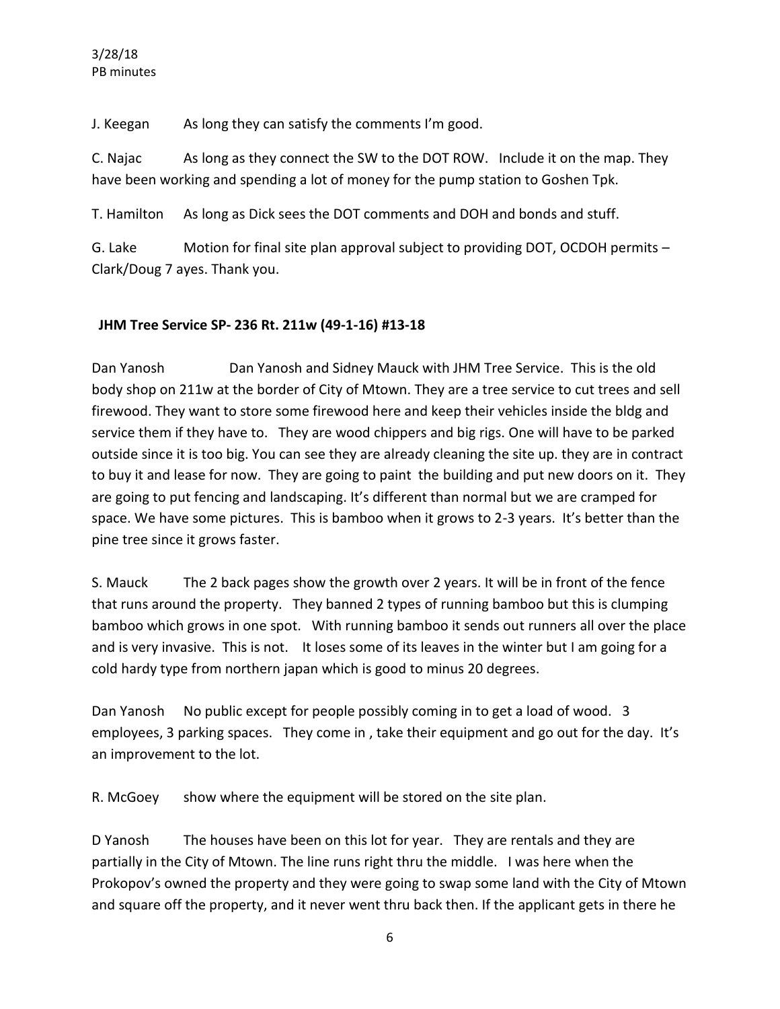#### 3/28/18 PB minutes

J. Keegan As long they can satisfy the comments I'm good.

C. Najac As long as they connect the SW to the DOT ROW. Include it on the map. They have been working and spending a lot of money for the pump station to Goshen Tpk.

T. Hamilton As long as Dick sees the DOT comments and DOH and bonds and stuff.

G. Lake Motion for final site plan approval subject to providing DOT, OCDOH permits – Clark/Doug 7 ayes. Thank you.

## **JHM Tree Service SP- 236 Rt. 211w (49-1-16) #13-18**

Dan Yanosh Dan Yanosh and Sidney Mauck with JHM Tree Service. This is the old body shop on 211w at the border of City of Mtown. They are a tree service to cut trees and sell firewood. They want to store some firewood here and keep their vehicles inside the bldg and service them if they have to. They are wood chippers and big rigs. One will have to be parked outside since it is too big. You can see they are already cleaning the site up. they are in contract to buy it and lease for now. They are going to paint the building and put new doors on it. They are going to put fencing and landscaping. It's different than normal but we are cramped for space. We have some pictures. This is bamboo when it grows to 2-3 years. It's better than the pine tree since it grows faster.

S. Mauck The 2 back pages show the growth over 2 years. It will be in front of the fence that runs around the property. They banned 2 types of running bamboo but this is clumping bamboo which grows in one spot. With running bamboo it sends out runners all over the place and is very invasive. This is not. It loses some of its leaves in the winter but I am going for a cold hardy type from northern japan which is good to minus 20 degrees.

Dan Yanosh No public except for people possibly coming in to get a load of wood. 3 employees, 3 parking spaces. They come in , take their equipment and go out for the day. It's an improvement to the lot.

R. McGoey show where the equipment will be stored on the site plan.

D Yanosh The houses have been on this lot for year. They are rentals and they are partially in the City of Mtown. The line runs right thru the middle. I was here when the Prokopov's owned the property and they were going to swap some land with the City of Mtown and square off the property, and it never went thru back then. If the applicant gets in there he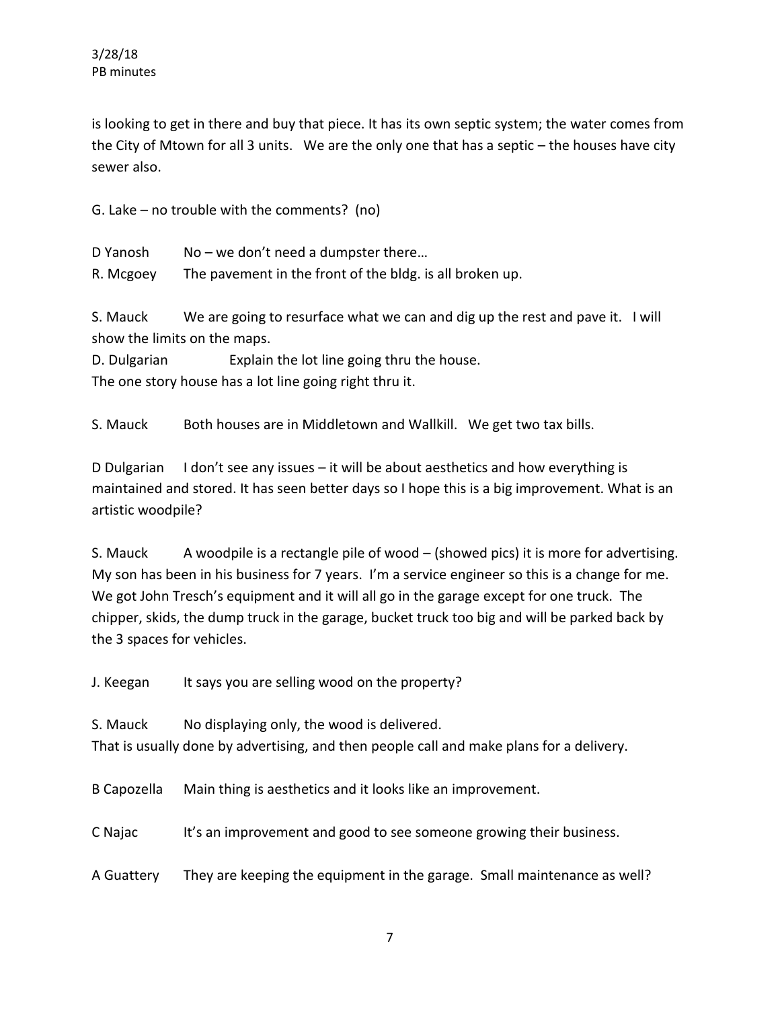is looking to get in there and buy that piece. It has its own septic system; the water comes from the City of Mtown for all 3 units. We are the only one that has a septic – the houses have city sewer also.

G. Lake – no trouble with the comments? (no)

D Yanosh No – we don't need a dumpster there...

R. Mcgoey The pavement in the front of the bldg. is all broken up.

S. Mauck We are going to resurface what we can and dig up the rest and pave it. I will show the limits on the maps.

D. Dulgarian Explain the lot line going thru the house. The one story house has a lot line going right thru it.

S. Mauck Both houses are in Middletown and Wallkill. We get two tax bills.

D Dulgarian I don't see any issues – it will be about aesthetics and how everything is maintained and stored. It has seen better days so I hope this is a big improvement. What is an artistic woodpile?

S. Mauck A woodpile is a rectangle pile of wood – (showed pics) it is more for advertising. My son has been in his business for 7 years. I'm a service engineer so this is a change for me. We got John Tresch's equipment and it will all go in the garage except for one truck. The chipper, skids, the dump truck in the garage, bucket truck too big and will be parked back by the 3 spaces for vehicles.

J. Keegan It says you are selling wood on the property?

S. Mauck No displaying only, the wood is delivered.

That is usually done by advertising, and then people call and make plans for a delivery.

B Capozella Main thing is aesthetics and it looks like an improvement.

C Najac It's an improvement and good to see someone growing their business.

A Guattery They are keeping the equipment in the garage. Small maintenance as well?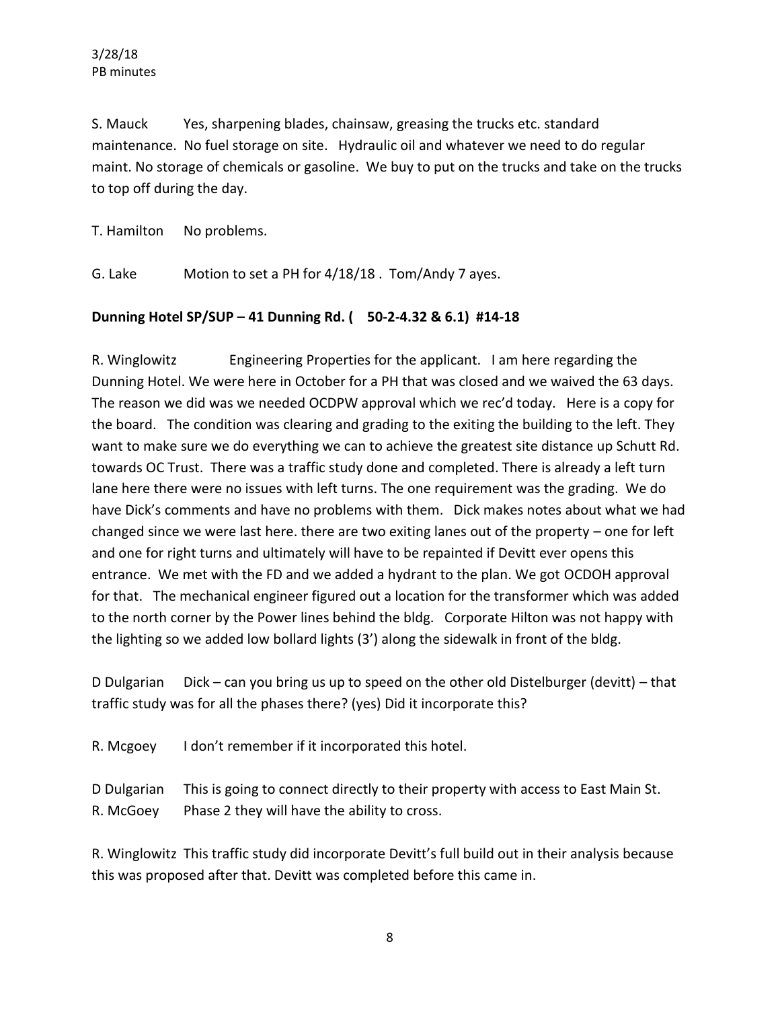S. Mauck Yes, sharpening blades, chainsaw, greasing the trucks etc. standard maintenance. No fuel storage on site. Hydraulic oil and whatever we need to do regular maint. No storage of chemicals or gasoline. We buy to put on the trucks and take on the trucks to top off during the day.

T. Hamilton No problems.

G. Lake Motion to set a PH for 4/18/18 . Tom/Andy 7 ayes.

#### **Dunning Hotel SP/SUP – 41 Dunning Rd. ( 50-2-4.32 & 6.1) #14-18**

R. Winglowitz Engineering Properties for the applicant. I am here regarding the Dunning Hotel. We were here in October for a PH that was closed and we waived the 63 days. The reason we did was we needed OCDPW approval which we rec'd today. Here is a copy for the board. The condition was clearing and grading to the exiting the building to the left. They want to make sure we do everything we can to achieve the greatest site distance up Schutt Rd. towards OC Trust. There was a traffic study done and completed. There is already a left turn lane here there were no issues with left turns. The one requirement was the grading. We do have Dick's comments and have no problems with them. Dick makes notes about what we had changed since we were last here. there are two exiting lanes out of the property – one for left and one for right turns and ultimately will have to be repainted if Devitt ever opens this entrance. We met with the FD and we added a hydrant to the plan. We got OCDOH approval for that. The mechanical engineer figured out a location for the transformer which was added to the north corner by the Power lines behind the bldg. Corporate Hilton was not happy with the lighting so we added low bollard lights (3') along the sidewalk in front of the bldg.

D Dulgarian Dick – can you bring us up to speed on the other old Distelburger (devitt) – that traffic study was for all the phases there? (yes) Did it incorporate this?

R. Mcgoey I don't remember if it incorporated this hotel.

D Dulgarian This is going to connect directly to their property with access to East Main St. R. McGoey Phase 2 they will have the ability to cross.

R. Winglowitz This traffic study did incorporate Devitt's full build out in their analysis because this was proposed after that. Devitt was completed before this came in.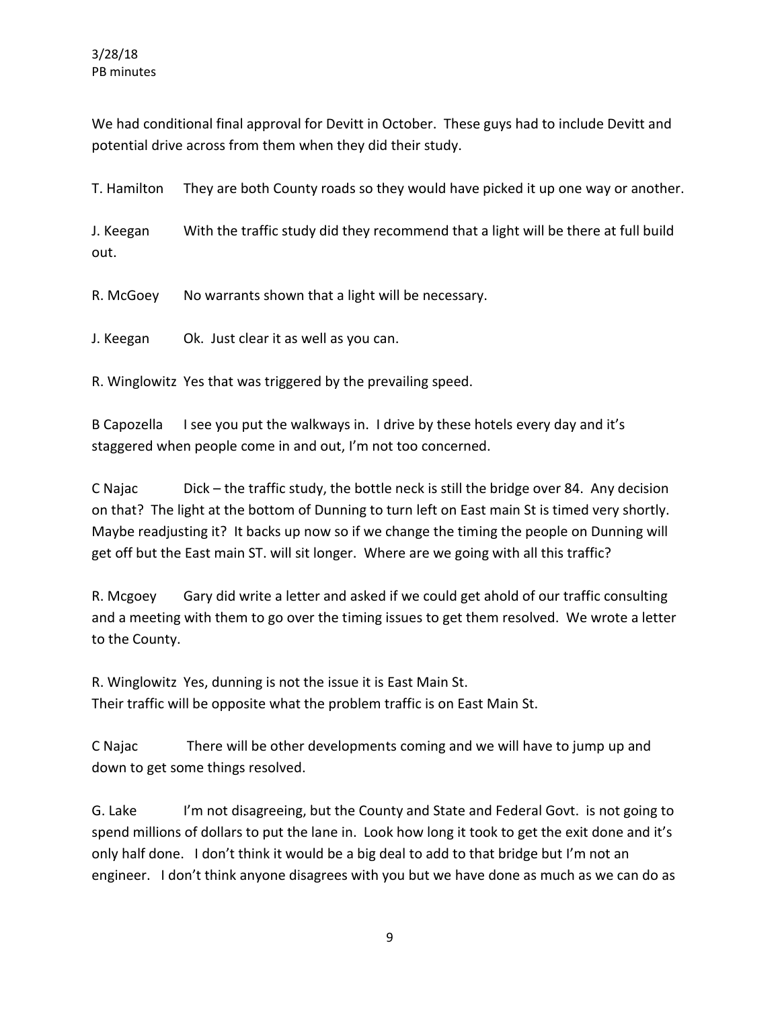We had conditional final approval for Devitt in October. These guys had to include Devitt and potential drive across from them when they did their study.

T. Hamilton They are both County roads so they would have picked it up one way or another.

J. Keegan With the traffic study did they recommend that a light will be there at full build out.

R. McGoey No warrants shown that a light will be necessary.

J. Keegan Ok. Just clear it as well as you can.

R. Winglowitz Yes that was triggered by the prevailing speed.

B Capozella I see you put the walkways in. I drive by these hotels every day and it's staggered when people come in and out, I'm not too concerned.

C Najac Dick – the traffic study, the bottle neck is still the bridge over 84. Any decision on that? The light at the bottom of Dunning to turn left on East main St is timed very shortly. Maybe readjusting it? It backs up now so if we change the timing the people on Dunning will get off but the East main ST. will sit longer. Where are we going with all this traffic?

R. Mcgoey Gary did write a letter and asked if we could get ahold of our traffic consulting and a meeting with them to go over the timing issues to get them resolved. We wrote a letter to the County.

R. Winglowitz Yes, dunning is not the issue it is East Main St. Their traffic will be opposite what the problem traffic is on East Main St.

C Najac There will be other developments coming and we will have to jump up and down to get some things resolved.

G. Lake I'm not disagreeing, but the County and State and Federal Govt. is not going to spend millions of dollars to put the lane in. Look how long it took to get the exit done and it's only half done. I don't think it would be a big deal to add to that bridge but I'm not an engineer. I don't think anyone disagrees with you but we have done as much as we can do as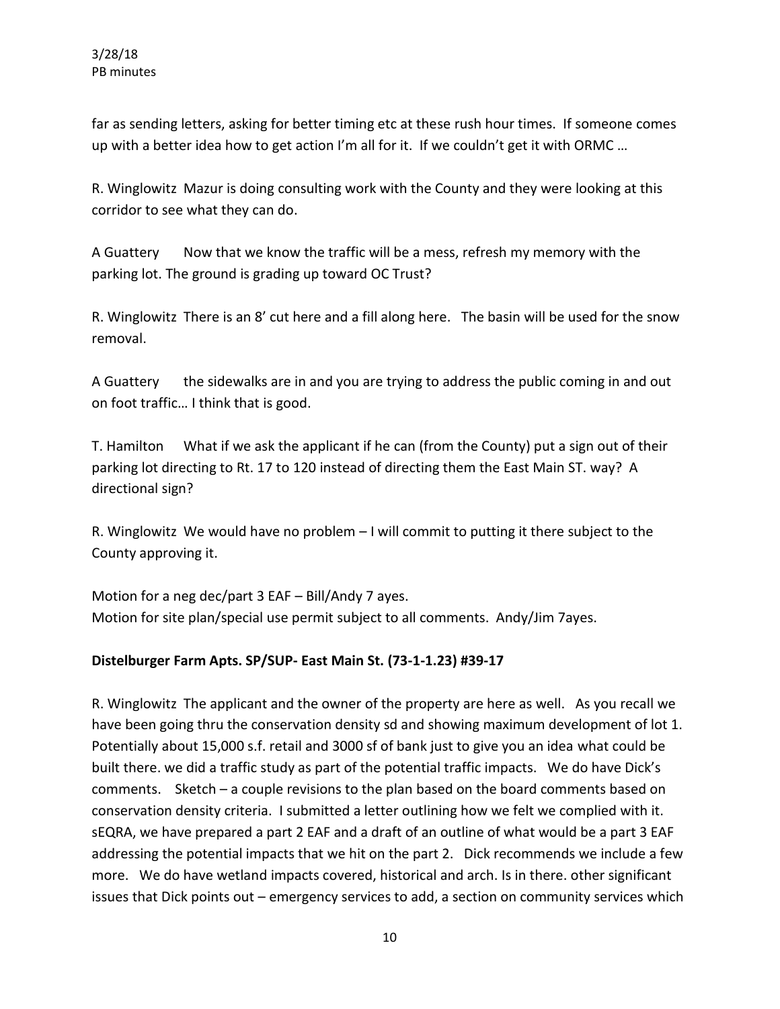far as sending letters, asking for better timing etc at these rush hour times. If someone comes up with a better idea how to get action I'm all for it. If we couldn't get it with ORMC …

R. Winglowitz Mazur is doing consulting work with the County and they were looking at this corridor to see what they can do.

A Guattery Now that we know the traffic will be a mess, refresh my memory with the parking lot. The ground is grading up toward OC Trust?

R. Winglowitz There is an 8' cut here and a fill along here. The basin will be used for the snow removal.

A Guattery the sidewalks are in and you are trying to address the public coming in and out on foot traffic… I think that is good.

T. Hamilton What if we ask the applicant if he can (from the County) put a sign out of their parking lot directing to Rt. 17 to 120 instead of directing them the East Main ST. way? A directional sign?

R. Winglowitz We would have no problem – I will commit to putting it there subject to the County approving it.

Motion for a neg dec/part 3 EAF – Bill/Andy 7 ayes. Motion for site plan/special use permit subject to all comments. Andy/Jim 7ayes.

# **Distelburger Farm Apts. SP/SUP- East Main St. (73-1-1.23) #39-17**

R. Winglowitz The applicant and the owner of the property are here as well. As you recall we have been going thru the conservation density sd and showing maximum development of lot 1. Potentially about 15,000 s.f. retail and 3000 sf of bank just to give you an idea what could be built there. we did a traffic study as part of the potential traffic impacts. We do have Dick's comments. Sketch – a couple revisions to the plan based on the board comments based on conservation density criteria. I submitted a letter outlining how we felt we complied with it. sEQRA, we have prepared a part 2 EAF and a draft of an outline of what would be a part 3 EAF addressing the potential impacts that we hit on the part 2. Dick recommends we include a few more. We do have wetland impacts covered, historical and arch. Is in there. other significant issues that Dick points out – emergency services to add, a section on community services which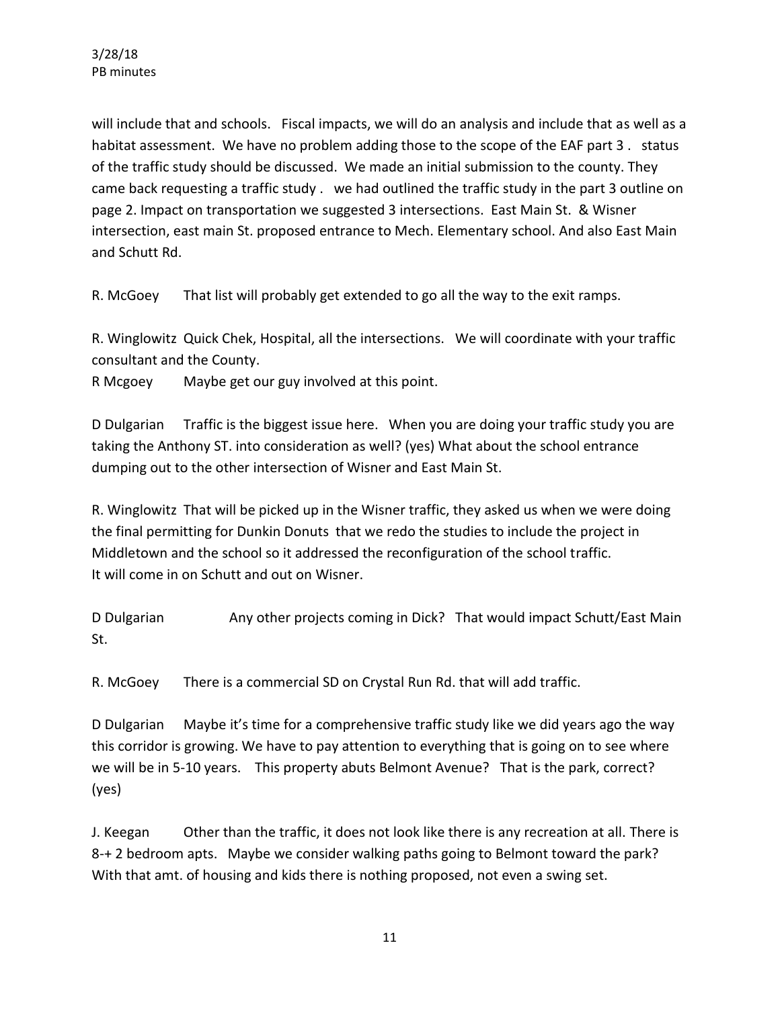will include that and schools. Fiscal impacts, we will do an analysis and include that as well as a habitat assessment. We have no problem adding those to the scope of the EAF part 3. status of the traffic study should be discussed. We made an initial submission to the county. They came back requesting a traffic study . we had outlined the traffic study in the part 3 outline on page 2. Impact on transportation we suggested 3 intersections. East Main St. & Wisner intersection, east main St. proposed entrance to Mech. Elementary school. And also East Main and Schutt Rd.

R. McGoey That list will probably get extended to go all the way to the exit ramps.

R. Winglowitz Quick Chek, Hospital, all the intersections. We will coordinate with your traffic consultant and the County.

R Mcgoey Maybe get our guy involved at this point.

D Dulgarian Traffic is the biggest issue here. When you are doing your traffic study you are taking the Anthony ST. into consideration as well? (yes) What about the school entrance dumping out to the other intersection of Wisner and East Main St.

R. Winglowitz That will be picked up in the Wisner traffic, they asked us when we were doing the final permitting for Dunkin Donuts that we redo the studies to include the project in Middletown and the school so it addressed the reconfiguration of the school traffic. It will come in on Schutt and out on Wisner.

D Dulgarian Any other projects coming in Dick? That would impact Schutt/East Main St.

R. McGoey There is a commercial SD on Crystal Run Rd. that will add traffic.

D Dulgarian Maybe it's time for a comprehensive traffic study like we did years ago the way this corridor is growing. We have to pay attention to everything that is going on to see where we will be in 5-10 years. This property abuts Belmont Avenue? That is the park, correct? (yes)

J. Keegan Other than the traffic, it does not look like there is any recreation at all. There is 8-+ 2 bedroom apts. Maybe we consider walking paths going to Belmont toward the park? With that amt. of housing and kids there is nothing proposed, not even a swing set.